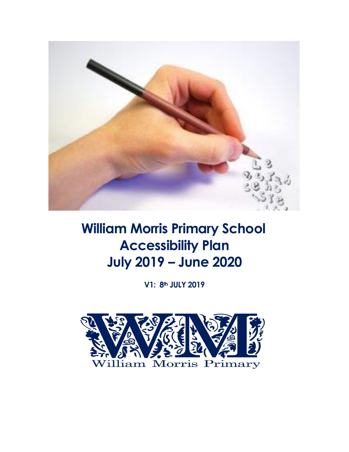

# **William Morris Primary School Accessibility Plan July 2019 - June 2020**

V1: 8th JULY 2019

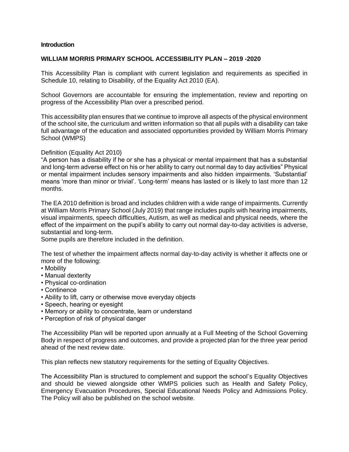#### **Introduction**

#### **WILLIAM MORRIS PRIMARY SCHOOL ACCESSIBILITY PLAN – 2019 -2020**

This Accessibility Plan is compliant with current legislation and requirements as specified in Schedule 10, relating to Disability, of the Equality Act 2010 (EA).

School Governors are accountable for ensuring the implementation, review and reporting on progress of the Accessibility Plan over a prescribed period.

This accessibility plan ensures that we continue to improve all aspects of the physical environment of the school site, the curriculum and written information so that all pupils with a disability can take full advantage of the education and associated opportunities provided by William Morris Primary School (WMPS)

Definition (Equality Act 2010)

"A person has a disability if he or she has a physical or mental impairment that has a substantial and long-term adverse effect on his or her ability to carry out normal day to day activities" Physical or mental impairment includes sensory impairments and also hidden impairments. 'Substantial' means 'more than minor or trivial'. 'Long-term' means has lasted or is likely to last more than 12 months.

The EA 2010 definition is broad and includes children with a wide range of impairments. Currently at William Morris Primary School (July 2019) that range includes pupils with hearing impairments, visual impairments, speech difficulties, Autism, as well as medical and physical needs, where the effect of the impairment on the pupil's ability to carry out normal day-to-day activities is adverse, substantial and long-term.

Some pupils are therefore included in the definition.

The test of whether the impairment affects normal day-to-day activity is whether it affects one or more of the following:

- Mobility
- Manual dexterity
- Physical co-ordination
- Continence
- Ability to lift, carry or otherwise move everyday objects
- Speech, hearing or eyesight
- Memory or ability to concentrate, learn or understand
- Perception of risk of physical danger

The Accessibility Plan will be reported upon annually at a Full Meeting of the School Governing Body in respect of progress and outcomes, and provide a projected plan for the three year period ahead of the next review date.

This plan reflects new statutory requirements for the setting of Equality Objectives.

The Accessibility Plan is structured to complement and support the school's Equality Objectives and should be viewed alongside other WMPS policies such as Health and Safety Policy, Emergency Evacuation Procedures, Special Educational Needs Policy and Admissions Policy. The Policy will also be published on the school website.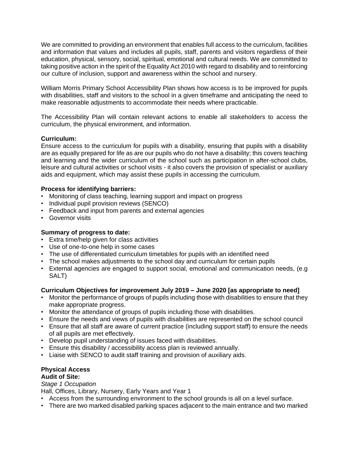We are committed to providing an environment that enables full access to the curriculum, facilities and information that values and includes all pupils, staff, parents and visitors regardless of their education, physical, sensory, social, spiritual, emotional and cultural needs. We are committed to taking positive action in the spirit of the Equality Act 2010 with regard to disability and to reinforcing our culture of inclusion, support and awareness within the school and nursery.

William Morris Primary School Accessibility Plan shows how access is to be improved for pupils with disabilities, staff and visitors to the school in a given timeframe and anticipating the need to make reasonable adjustments to accommodate their needs where practicable.

The Accessibility Plan will contain relevant actions to enable all stakeholders to access the curriculum, the physical environment, and information.

# **Curriculum:**

Ensure access to the curriculum for pupils with a disability, ensuring that pupils with a disability are as equally prepared for life as are our pupils who do not have a disability; this covers teaching and learning and the wider curriculum of the school such as participation in after-school clubs, leisure and cultural activities or school visits - it also covers the provision of specialist or auxiliary aids and equipment, which may assist these pupils in accessing the curriculum.

#### **Process for identifying barriers:**

- Monitoring of class teaching, learning support and impact on progress
- Individual pupil provision reviews (SENCO)
- Feedback and input from parents and external agencies
- Governor visits

# **Summary of progress to date:**

- Extra time/help given for class activities
- Use of one-to-one help in some cases
- The use of differentiated curriculum timetables for pupils with an identified need
- The school makes adjustments to the school day and curriculum for certain pupils
- External agencies are engaged to support social, emotional and communication needs, (e.g SALT)

# **Curriculum Objectives for improvement July 2019 – June 2020 [as appropriate to need]**

- Monitor the performance of groups of pupils including those with disabilities to ensure that they make appropriate progress.
- Monitor the attendance of groups of pupils including those with disabilities.
- Ensure the needs and views of pupils with disabilities are represented on the school council
- Ensure that all staff are aware of current practice (including support staff) to ensure the needs of all pupils are met effectively.
- Develop pupil understanding of issues faced with disabilities.
- Ensure this disability / accessibility access plan is reviewed annually.
- Liaise with SENCO to audit staff training and provision of auxiliary aids.

# **Physical Access**

# **Audit of Site:**

*Stage 1 Occupation*

Hall, Offices, Library, Nursery, Early Years and Year 1

- Access from the surrounding environment to the school grounds is all on a level surface.
- There are two marked disabled parking spaces adjacent to the main entrance and two marked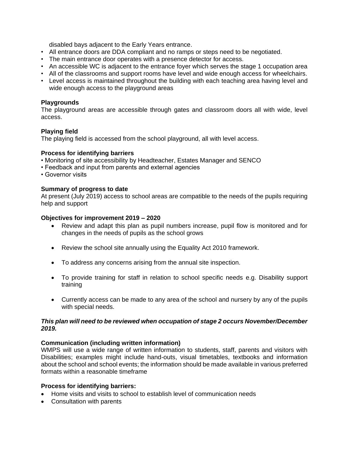disabled bays adjacent to the Early Years entrance.

- All entrance doors are DDA compliant and no ramps or steps need to be negotiated.
- The main entrance door operates with a presence detector for access.
- An accessible WC is adjacent to the entrance foyer which serves the stage 1 occupation area
- All of the classrooms and support rooms have level and wide enough access for wheelchairs.
- Level access is maintained throughout the building with each teaching area having level and wide enough access to the playground areas

#### **Playgrounds**

The playground areas are accessible through gates and classroom doors all with wide, level access.

#### **Playing field**

The playing field is accessed from the school playground, all with level access.

#### **Process for identifying barriers**

- Monitoring of site accessibility by Headteacher, Estates Manager and SENCO
- Feedback and input from parents and external agencies
- Governor visits

#### **Summary of progress to date**

At present (July 2019) access to school areas are compatible to the needs of the pupils requiring help and support

#### **Objectives for improvement 2019 – 2020**

- Review and adapt this plan as pupil numbers increase, pupil flow is monitored and for changes in the needs of pupils as the school grows
- Review the school site annually using the Equality Act 2010 framework.
- To address any concerns arising from the annual site inspection.
- To provide training for staff in relation to school specific needs e.g. Disability support training
- Currently access can be made to any area of the school and nursery by any of the pupils with special needs.

#### *This plan will need to be reviewed when occupation of stage 2 occurs November/December 2019.*

# **Communication (including written information)**

WMPS will use a wide range of written information to students, staff, parents and visitors with Disabilities; examples might include hand-outs, visual timetables, textbooks and information about the school and school events; the information should be made available in various preferred formats within a reasonable timeframe

#### **Process for identifying barriers:**

- Home visits and visits to school to establish level of communication needs
- Consultation with parents